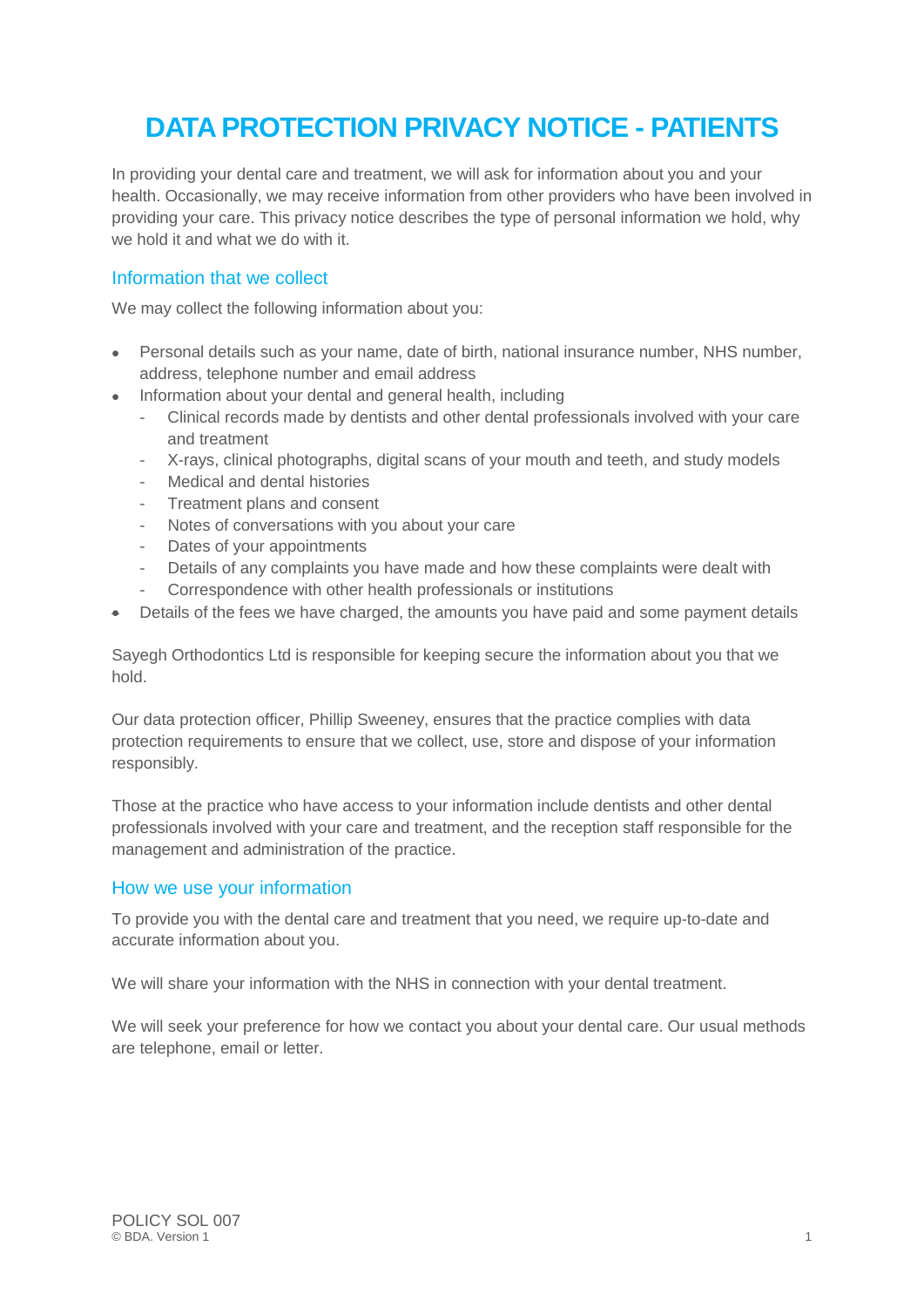# **DATA PROTECTION PRIVACY NOTICE - PATIENTS**

In providing your dental care and treatment, we will ask for information about you and your health. Occasionally, we may receive information from other providers who have been involved in providing your care. This privacy notice describes the type of personal information we hold, why we hold it and what we do with it.

## Information that we collect

We may collect the following information about you:

- Personal details such as your name, date of birth, national insurance number, NHS number, address, telephone number and email address
- Information about your dental and general health, including
	- Clinical records made by dentists and other dental professionals involved with your care and treatment
	- X-rays, clinical photographs, digital scans of your mouth and teeth, and study models
	- Medical and dental histories
	- Treatment plans and consent
	- Notes of conversations with you about your care
	- Dates of your appointments
	- Details of any complaints you have made and how these complaints were dealt with
	- Correspondence with other health professionals or institutions
- Details of the fees we have charged, the amounts you have paid and some payment details

Sayegh Orthodontics Ltd is responsible for keeping secure the information about you that we hold.

Our data protection officer, Phillip Sweeney, ensures that the practice complies with data protection requirements to ensure that we collect, use, store and dispose of your information responsibly.

Those at the practice who have access to your information include dentists and other dental professionals involved with your care and treatment, and the reception staff responsible for the management and administration of the practice.

#### How we use your information

To provide you with the dental care and treatment that you need, we require up-to-date and accurate information about you.

We will share your information with the NHS in connection with your dental treatment.

We will seek your preference for how we contact you about your dental care. Our usual methods are telephone, email or letter.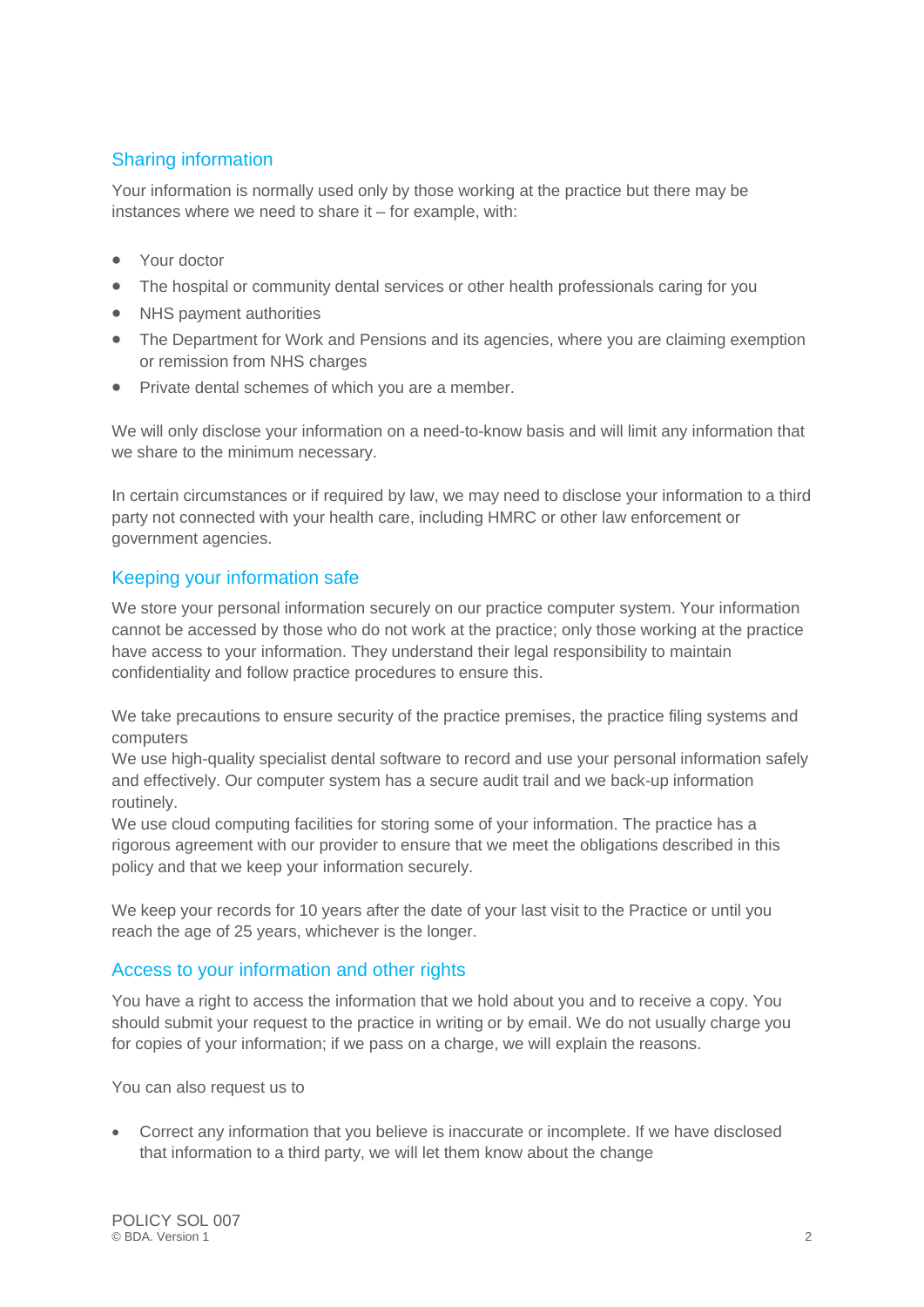## Sharing information

Your information is normally used only by those working at the practice but there may be instances where we need to share it – for example, with:

- Your doctor
- The hospital or community dental services or other health professionals caring for you
- NHS payment authorities
- The Department for Work and Pensions and its agencies, where you are claiming exemption or remission from NHS charges
- Private dental schemes of which you are a member.

We will only disclose your information on a need-to-know basis and will limit any information that we share to the minimum necessary.

In certain circumstances or if required by law, we may need to disclose your information to a third party not connected with your health care, including HMRC or other law enforcement or government agencies.

## Keeping your information safe

We store your personal information securely on our practice computer system. Your information cannot be accessed by those who do not work at the practice; only those working at the practice have access to your information. They understand their legal responsibility to maintain confidentiality and follow practice procedures to ensure this.

We take precautions to ensure security of the practice premises, the practice filing systems and computers

We use high-quality specialist dental software to record and use your personal information safely and effectively. Our computer system has a secure audit trail and we back-up information routinely.

We use cloud computing facilities for storing some of your information. The practice has a rigorous agreement with our provider to ensure that we meet the obligations described in this policy and that we keep your information securely.

We keep your records for 10 years after the date of your last visit to the Practice or until you reach the age of 25 years, whichever is the longer.

### Access to your information and other rights

You have a right to access the information that we hold about you and to receive a copy. You should submit your request to the practice in writing or by email. We do not usually charge you for copies of your information; if we pass on a charge, we will explain the reasons.

You can also request us to

• Correct any information that you believe is inaccurate or incomplete. If we have disclosed that information to a third party, we will let them know about the change